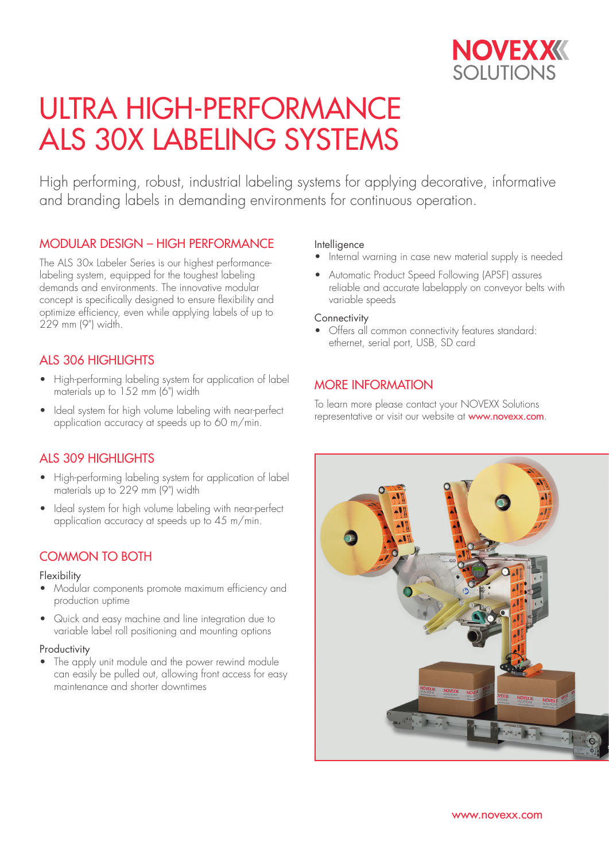

# ULTRA HIGH-PERFORMANCE ALS 30X LABELING SYSTEMS

High performing, robust, industrial labeling systems for applying decorative, informative and branding labels in demanding environments for continuous operation.

## MODULAR DESIGN – HIGH PERFORMANCE

The ALS 30x Labeler Series is our highest performancelabeling system, equipped for the toughest labeling demands and environments. The innovative modular concept is specifically designed to ensure flexibility and optimize efficiency, even while applying labels of up to 229 mm (9") width.

# ALS 306 HIGHLIGHTS

- High-performing labeling system for application of label materials up to 152 mm (6") width
- Ideal system for high volume labeling with near-perfect application accuracy at speeds up to 60 m/min.

# ALS 309 HIGHLIGHTS

- High-performing labeling system for application of label materials up to 229 mm (9") width
- Ideal system for high volume labeling with near-perfect application accuracy at speeds up to 45 m/min.

# COMMON TO BOTH

#### Flexibility

- Modular components promote maximum efficiency and production uptime
- Quick and easy machine and line integration due to variable label roll positioning and mounting options

#### **Productivity**

The apply unit module and the power rewind module can easily be pulled out, allowing front access for easy maintenance and shorter downtimes

#### Intelligence

- Internal warning in case new material supply is needed
- Automatic Product Speed Following (APSF) assures reliable and accurate labelapply on conveyor belts with variable speeds

#### **Connectivity**

• Offers all common connectivity features standard: ethernet, serial port, USB, SD card

## MORE INFORMATION

To learn more please contact your NOVEXX Solutions representative or visit our website at **www.novexx.com**.